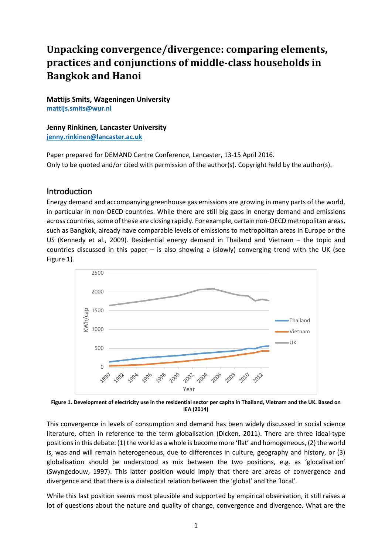# **Unpacking convergence/divergence: comparing elements, practices and conjunctions of middle-class households in Bangkok and Hanoi**

**Mattijs Smits, Wageningen University [mattijs.smits@wur.nl](mailto:jenny.rinkinen@lancaster.ac.uk)**

**Jenny Rinkinen, Lancaster University [jenny.rinkinen@lancaster.ac.uk](mailto:jenny.rinkinen@lancaster.ac.uk)**

Paper prepared for DEMAND Centre Conference, Lancaster, 13-15 April 2016. Only to be quoted and/or cited with permission of the author(s). Copyright held by the author(s).

### Introduction

Energy demand and accompanying greenhouse gas emissions are growing in many parts of the world, in particular in non-OECD countries. While there are still big gaps in energy demand and emissions across countries, some of these are closing rapidly. For example, certain non-OECD metropolitan areas, such as Bangkok, already have comparable levels of emissions to metropolitan areas in Europe or the US [\(Kennedy et al., 2009\)](#page-7-0). Residential energy demand in Thailand and Vietnam – the topic and countries discussed in this paper – is also showing a (slowly) converging trend with the UK (see [Figure 1\)](#page-0-0).



<span id="page-0-0"></span>**Figure 1. Development of electricity use in the residential sector per capita in Thailand, Vietnam and the UK. Based on [IEA \(2014\)](#page-7-1)**

This convergence in levels of consumption and demand has been widely discussed in social science literature, often in reference to the term globalisation [\(Dicken, 2011\)](#page-7-2). There are three ideal-type positions in this debate: (1) the world as a whole is become more 'flat' and homogeneous, (2) the world is, was and will remain heterogeneous, due to differences in culture, geography and history, or (3) globalisation should be understood as mix between the two positions, e.g. as 'glocalisation' [\(Swyngedouw, 1997\)](#page-7-3). This latter position would imply that there are areas of convergence and divergence and that there is a dialectical relation between the 'global' and the 'local'.

While this last position seems most plausible and supported by empirical observation, it still raises a lot of questions about the nature and quality of change, convergence and divergence. What are the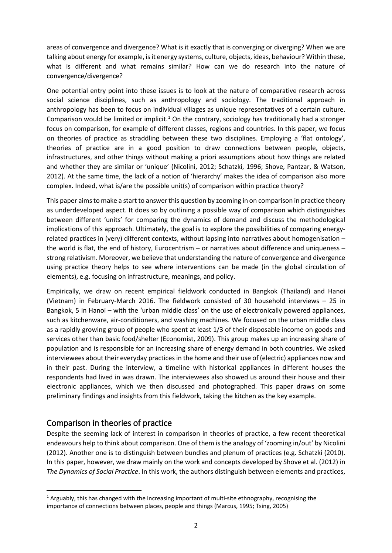areas of convergence and divergence? What is it exactly that is converging or diverging? When we are talking about energy for example, is it energy systems, culture, objects, ideas, behaviour? Within these, what is different and what remains similar? How can we do research into the nature of convergence/divergence?

One potential entry point into these issues is to look at the nature of comparative research across social science disciplines, such as anthropology and sociology. The traditional approach in anthropology has been to focus on individual villages as unique representatives of a certain culture. Comparison would be limited or implicit.<sup>[1](#page-1-0)</sup> On the contrary, sociology has traditionally had a stronger focus on comparison, for example of different classes, regions and countries. In this paper, we focus on theories of practice as straddling between these two disciplines. Employing a 'flat ontology', theories of practice are in a good position to draw connections between people, objects, infrastructures, and other things without making a priori assumptions about how things are related and whether they are similar or 'unique' [\(Nicolini, 2012;](#page-7-4) [Schatzki, 1996;](#page-7-5) [Shove, Pantzar, & Watson,](#page-7-6)  [2012\)](#page-7-6). At the same time, the lack of a notion of 'hierarchy' makes the idea of comparison also more complex. Indeed, what is/are the possible unit(s) of comparison within practice theory?

This paper aims to make a start to answer this question by zooming in on comparison in practice theory as underdeveloped aspect. It does so by outlining a possible way of comparison which distinguishes between different 'units' for comparing the dynamics of demand and discuss the methodological implications of this approach. Ultimately, the goal is to explore the possibilities of comparing energyrelated practices in (very) different contexts, without lapsing into narratives about homogenisation – the world is flat, the end of history, Eurocentrism – or narratives about difference and uniqueness – strong relativism. Moreover, we believe that understanding the nature of convergence and divergence using practice theory helps to see where interventions can be made (in the global circulation of elements), e.g. focusing on infrastructure, meanings, and policy.

Empirically, we draw on recent empirical fieldwork conducted in Bangkok (Thailand) and Hanoi (Vietnam) in February-March 2016. The fieldwork consisted of 30 household interviews – 25 in Bangkok, 5 in Hanoi – with the 'urban middle class' on the use of electronically powered appliances, such as kitchenware, air-conditioners, and washing machines. We focused on the urban middle class as a rapidly growing group of people who spent at least 1/3 of their disposable income on goods and services other than basic food/shelter [\(Economist, 2009\)](#page-7-7). This group makes up an increasing share of population and is responsible for an increasing share of energy demand in both countries. We asked interviewees about their everyday practices in the home and their use of (electric) appliances now and in their past. During the interview, a timeline with historical appliances in different houses the respondents had lived in was drawn. The interviewees also showed us around their house and their electronic appliances, which we then discussed and photographed. This paper draws on some preliminary findings and insights from this fieldwork, taking the kitchen as the key example.

## Comparison in theories of practice

 $\overline{a}$ 

Despite the seeming lack of interest in comparison in theories of practice, a few recent theoretical endeavours help to think about comparison. One of them is the analogy of 'zooming in/out' by [Nicolini](#page-7-4)  (2012). Another one is to distinguish between bundles and plenum of practices (e.g. [Schatzki \(2010\).](#page-7-8) In this paper, however, we draw mainly on the work and concepts developed b[y Shove et al. \(2012\)](#page-7-6) in *The Dynamics of Social Practice*. In this work, the authors distinguish between elements and practices,

<span id="page-1-0"></span> $1$  Arguably, this has changed with the increasing important of multi-site ethnography, recognising the importance of connections between places, people and things [\(Marcus, 1995;](#page-7-9) [Tsing, 2005\)](#page-7-10)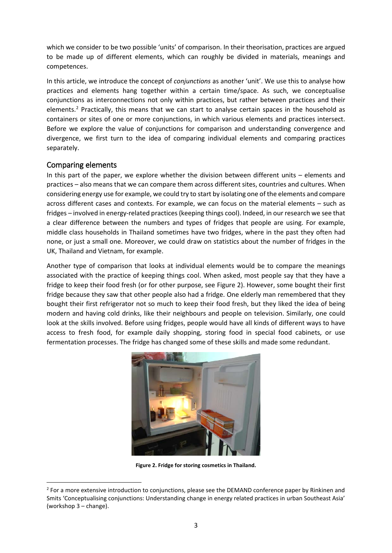which we consider to be two possible 'units' of comparison. In their theorisation, practices are argued to be made up of different elements, which can roughly be divided in materials, meanings and competences.

In this article, we introduce the concept of *conjunctions* as another 'unit'. We use this to analyse how practices and elements hang together within a certain time/space. As such, we conceptualise conjunctions as interconnections not only within practices, but rather between practices and their elements.<sup>[2](#page-2-1)</sup> Practically, this means that we can start to analyse certain spaces in the household as containers or sites of one or more conjunctions, in which various elements and practices intersect. Before we explore the value of conjunctions for comparison and understanding convergence and divergence, we first turn to the idea of comparing individual elements and comparing practices separately.

### Comparing elements

<span id="page-2-0"></span>**.** 

In this part of the paper, we explore whether the division between different units – elements and practices – also means that we can compare them across different sites, countries and cultures. When considering energy use for example, we could try to start by isolating one of the elements and compare across different cases and contexts. For example, we can focus on the material elements – such as fridges – involved in energy-related practices(keeping things cool). Indeed, in our research we see that a clear difference between the numbers and types of fridges that people are using. For example, middle class households in Thailand sometimes have two fridges, where in the past they often had none, or just a small one. Moreover, we could draw on statistics about the number of fridges in the UK, Thailand and Vietnam, for example.

Another type of comparison that looks at individual elements would be to compare the meanings associated with the practice of keeping things cool. When asked, most people say that they have a fridge to keep their food fresh (or for other purpose, see [Figure 2\)](#page-2-0). However, some bought their first fridge because they saw that other people also had a fridge. One elderly man remembered that they bought their first refrigerator not so much to keep their food fresh, but they liked the idea of being modern and having cold drinks, like their neighbours and people on television. Similarly, one could look at the skills involved. Before using fridges, people would have all kinds of different ways to have access to fresh food, for example daily shopping, storing food in special food cabinets, or use fermentation processes. The fridge has changed some of these skills and made some redundant.



**Figure 2. Fridge for storing cosmetics in Thailand.**

<span id="page-2-1"></span> $<sup>2</sup>$  For a more extensive introduction to conjunctions, please see the DEMAND conference paper by Rinkinen and</sup> Smits 'Conceptualising conjunctions: Understanding change in energy related practices in urban Southeast Asia' (workshop 3 – change).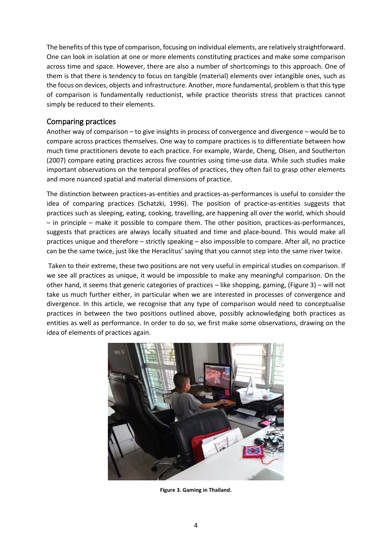The benefits of this type of comparison, focusing on individual elements, are relatively straightforward. One can look in isolation at one or more elements constituting practices and make some comparison across time and space. However, there are also a number of shortcomings to this approach. One of them is that there is tendency to focus on tangible (material) elements over intangible ones, such as the focus on devices, objects and infrastructure. Another, more fundamental, problem is that this type of comparison is fundamentally reductionist, while practice theorists stress that practices cannot simply be reduced to their elements.

### Comparing practices

Another way of comparison – to give insights in process of convergence and divergence – would be to compare across practices themselves. One way to compare practices is to differentiate between how much time practitioners devote to each practice. For example, Warde, Cheng, Olsen, and Southerton (2007) compare eating practices across five countries using time-use data. While such studies make important observations on the temporal profiles of practices, they often fail to grasp other elements and more nuanced spatial and material dimensions of practice.

The distinction between practices-as-entities and practices-as-performances is useful to consider the idea of comparing practices [\(Schatzki, 1996\)](#page-7-5). The position of practice-as-entities suggests that practices such as sleeping, eating, cooking, travelling, are happening all over the world, which should – in principle – make it possible to compare them. The other position, practices-as-performances, suggests that practices are always locally situated and time and place-bound. This would make all practices unique and therefore – strictly speaking – also impossible to compare. After all, no practice can be the same twice, just like the Heraclitus' saying that you cannot step into the same river twice.

Taken to their extreme, these two positions are not very useful in empirical studies on comparison. If we see all practices as unique, it would be impossible to make any meaningful comparison. On the other hand, it seems that generic categories of practices – like shopping, gaming, [\(Figure 3\)](#page-3-0) – will not take us much further either, in particular when we are interested in processes of convergence and divergence. In this article, we recognise that any type of comparison would need to conceptualise practices in between the two positions outlined above, possibly acknowledging both practices as entities as well as performance. In order to do so, we first make some observations, drawing on the idea of elements of practices again.

<span id="page-3-0"></span>

**Figure 3. Gaming in Thailand.**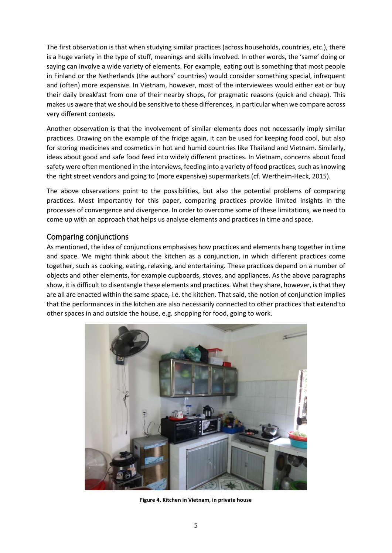The first observation is that when studying similar practices (across households, countries, etc.), there is a huge variety in the type of stuff, meanings and skills involved. In other words, the 'same' doing or saying can involve a wide variety of elements. For example, eating out is something that most people in Finland or the Netherlands (the authors' countries) would consider something special, infrequent and (often) more expensive. In Vietnam, however, most of the interviewees would either eat or buy their daily breakfast from one of their nearby shops, for pragmatic reasons (quick and cheap). This makes us aware that we should be sensitive to these differences, in particular when we compare across very different contexts.

Another observation is that the involvement of similar elements does not necessarily imply similar practices. Drawing on the example of the fridge again, it can be used for keeping food cool, but also for storing medicines and cosmetics in hot and humid countries like Thailand and Vietnam. Similarly, ideas about good and safe food feed into widely different practices. In Vietnam, concerns about food safety were often mentioned in the interviews, feeding into a variety of food practices, such as knowing the right street vendors and going to (more expensive) supermarkets [\(cf. Wertheim-Heck, 2015\)](#page-7-11).

The above observations point to the possibilities, but also the potential problems of comparing practices. Most importantly for this paper, comparing practices provide limited insights in the processes of convergence and divergence. In order to overcome some of these limitations, we need to come up with an approach that helps us analyse elements and practices in time and space.

### Comparing conjunctions

As mentioned, the idea of conjunctions emphasises how practices and elements hang together in time and space. We might think about the kitchen as a conjunction, in which different practices come together, such as cooking, eating, relaxing, and entertaining. These practices depend on a number of objects and other elements, for example cupboards, stoves, and appliances. As the above paragraphs show, it is difficult to disentangle these elements and practices. What they share, however, is that they are all are enacted within the same space, i.e. the kitchen. That said, the notion of conjunction implies that the performances in the kitchen are also necessarily connected to other practices that extend to other spaces in and outside the house, e.g. shopping for food, going to work.



**Figure 4. Kitchen in Vietnam, in private house**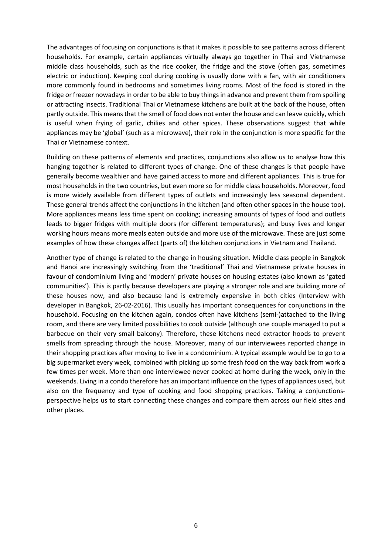The advantages of focusing on conjunctions is that it makes it possible to see patterns across different households. For example, certain appliances virtually always go together in Thai and Vietnamese middle class households, such as the rice cooker, the fridge and the stove (often gas, sometimes electric or induction). Keeping cool during cooking is usually done with a fan, with air conditioners more commonly found in bedrooms and sometimes living rooms. Most of the food is stored in the fridge or freezer nowadaysin order to be able to buy things in advance and prevent them from spoiling or attracting insects. Traditional Thai or Vietnamese kitchens are built at the back of the house, often partly outside. This means that the smell of food does not enter the house and can leave quickly, which is useful when frying of garlic, chilies and other spices. These observations suggest that while appliances may be 'global' (such as a microwave), their role in the conjunction is more specific for the Thai or Vietnamese context.

Building on these patterns of elements and practices, conjunctions also allow us to analyse how this hanging together is related to different types of change. One of these changes is that people have generally become wealthier and have gained access to more and different appliances. This is true for most households in the two countries, but even more so for middle class households. Moreover, food is more widely available from different types of outlets and increasingly less seasonal dependent. These general trends affect the conjunctions in the kitchen (and often other spaces in the house too). More appliances means less time spent on cooking; increasing amounts of types of food and outlets leads to bigger fridges with multiple doors (for different temperatures); and busy lives and longer working hours means more meals eaten outside and more use of the microwave. These are just some examples of how these changes affect (parts of) the kitchen conjunctions in Vietnam and Thailand.

Another type of change is related to the change in housing situation. Middle class people in Bangkok and Hanoi are increasingly switching from the 'traditional' Thai and Vietnamese private houses in favour of condominium living and 'modern' private houses on housing estates (also known as 'gated communities'). This is partly because developers are playing a stronger role and are building more of these houses now, and also because land is extremely expensive in both cities (Interview with developer in Bangkok, 26-02-2016). This usually has important consequences for conjunctions in the household. Focusing on the kitchen again, condos often have kitchens (semi-)attached to the living room, and there are very limited possibilities to cook outside (although one couple managed to put a barbecue on their very small balcony). Therefore, these kitchens need extractor hoods to prevent smells from spreading through the house. Moreover, many of our interviewees reported change in their shopping practices after moving to live in a condominium. A typical example would be to go to a big supermarket every week, combined with picking up some fresh food on the way back from work a few times per week. More than one interviewee never cooked at home during the week, only in the weekends. Living in a condo therefore has an important influence on the types of appliances used, but also on the frequency and type of cooking and food shopping practices. Taking a conjunctionsperspective helps us to start connecting these changes and compare them across our field sites and other places.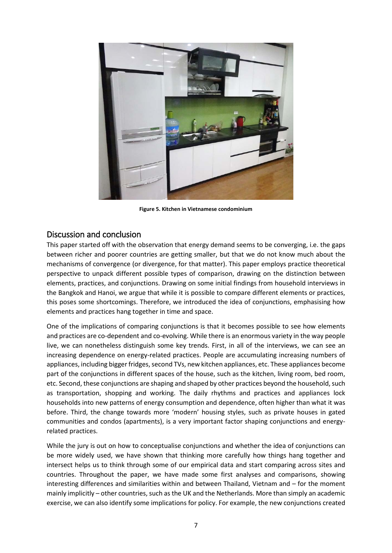

**Figure 5. Kitchen in Vietnamese condominium**

## Discussion and conclusion

This paper started off with the observation that energy demand seems to be converging, i.e. the gaps between richer and poorer countries are getting smaller, but that we do not know much about the mechanisms of convergence (or divergence, for that matter). This paper employs practice theoretical perspective to unpack different possible types of comparison, drawing on the distinction between elements, practices, and conjunctions. Drawing on some initial findings from household interviews in the Bangkok and Hanoi, we argue that while it is possible to compare different elements or practices, this poses some shortcomings. Therefore, we introduced the idea of conjunctions, emphasising how elements and practices hang together in time and space.

One of the implications of comparing conjunctions is that it becomes possible to see how elements and practices are co-dependent and co-evolving. While there is an enormous variety in the way people live, we can nonetheless distinguish some key trends. First, in all of the interviews, we can see an increasing dependence on energy-related practices. People are accumulating increasing numbers of appliances, including bigger fridges, second TVs, new kitchen appliances, etc. These appliances become part of the conjunctions in different spaces of the house, such as the kitchen, living room, bed room, etc. Second, these conjunctions are shaping and shaped by other practices beyond the household, such as transportation, shopping and working. The daily rhythms and practices and appliances lock households into new patterns of energy consumption and dependence, often higher than what it was before. Third, the change towards more 'modern' housing styles, such as private houses in gated communities and condos (apartments), is a very important factor shaping conjunctions and energyrelated practices.

While the jury is out on how to conceptualise conjunctions and whether the idea of conjunctions can be more widely used, we have shown that thinking more carefully how things hang together and intersect helps us to think through some of our empirical data and start comparing across sites and countries. Throughout the paper, we have made some first analyses and comparisons, showing interesting differences and similarities within and between Thailand, Vietnam and – for the moment mainly implicitly – other countries, such as the UK and the Netherlands. More than simply an academic exercise, we can also identify some implications for policy. For example, the new conjunctions created